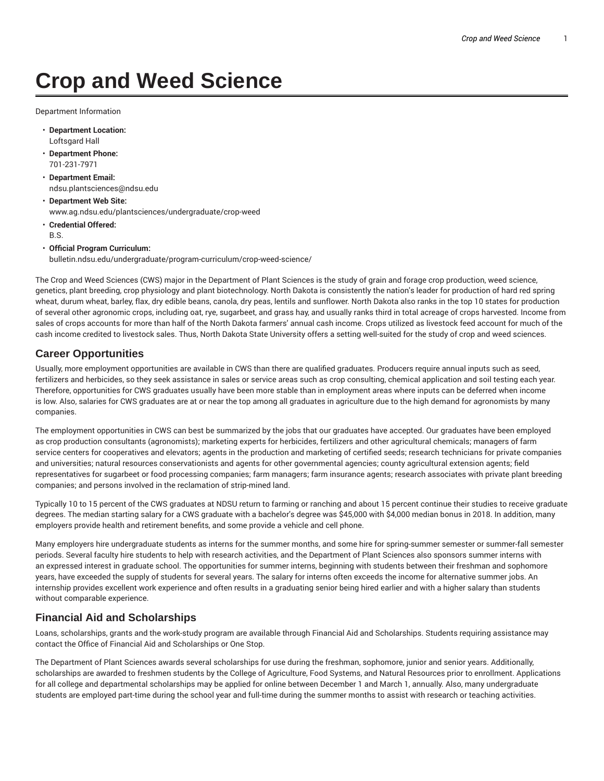# **Crop and Weed Science**

Department Information

- **Department Location:** Loftsgard Hall
- **Department Phone:** 701-231-7971
- **Department Email:** ndsu.plantsciences@ndsu.edu
- **Department Web Site:** www.ag.ndsu.edu/plantsciences/undergraduate/crop-weed
- **Credential Offered:** B.S.
- **Official Program Curriculum:** bulletin.ndsu.edu/undergraduate/program-curriculum/crop-weed-science/

The Crop and Weed Sciences (CWS) major in the Department of Plant Sciences is the study of grain and forage crop production, weed science, genetics, plant breeding, crop physiology and plant biotechnology. North Dakota is consistently the nation's leader for production of hard red spring wheat, durum wheat, barley, flax, dry edible beans, canola, dry peas, lentils and sunflower. North Dakota also ranks in the top 10 states for production of several other agronomic crops, including oat, rye, sugarbeet, and grass hay, and usually ranks third in total acreage of crops harvested. Income from sales of crops accounts for more than half of the North Dakota farmers' annual cash income. Crops utilized as livestock feed account for much of the cash income credited to livestock sales. Thus, North Dakota State University offers a setting well-suited for the study of crop and weed sciences.

### **Career Opportunities**

Usually, more employment opportunities are available in CWS than there are qualified graduates. Producers require annual inputs such as seed, fertilizers and herbicides, so they seek assistance in sales or service areas such as crop consulting, chemical application and soil testing each year. Therefore, opportunities for CWS graduates usually have been more stable than in employment areas where inputs can be deferred when income is low. Also, salaries for CWS graduates are at or near the top among all graduates in agriculture due to the high demand for agronomists by many companies.

The employment opportunities in CWS can best be summarized by the jobs that our graduates have accepted. Our graduates have been employed as crop production consultants (agronomists); marketing experts for herbicides, fertilizers and other agricultural chemicals; managers of farm service centers for cooperatives and elevators; agents in the production and marketing of certified seeds; research technicians for private companies and universities; natural resources conservationists and agents for other governmental agencies; county agricultural extension agents; field representatives for sugarbeet or food processing companies; farm managers; farm insurance agents; research associates with private plant breeding companies; and persons involved in the reclamation of strip-mined land.

Typically 10 to 15 percent of the CWS graduates at NDSU return to farming or ranching and about 15 percent continue their studies to receive graduate degrees. The median starting salary for a CWS graduate with a bachelor's degree was \$45,000 with \$4,000 median bonus in 2018. In addition, many employers provide health and retirement benefits, and some provide a vehicle and cell phone.

Many employers hire undergraduate students as interns for the summer months, and some hire for spring-summer semester or summer-fall semester periods. Several faculty hire students to help with research activities, and the Department of Plant Sciences also sponsors summer interns with an expressed interest in graduate school. The opportunities for summer interns, beginning with students between their freshman and sophomore years, have exceeded the supply of students for several years. The salary for interns often exceeds the income for alternative summer jobs. An internship provides excellent work experience and often results in a graduating senior being hired earlier and with a higher salary than students without comparable experience.

### **Financial Aid and Scholarships**

Loans, scholarships, grants and the work-study program are available through Financial Aid and Scholarships. Students requiring assistance may contact the Office of Financial Aid and Scholarships or One Stop.

The Department of Plant Sciences awards several scholarships for use during the freshman, sophomore, junior and senior years. Additionally, scholarships are awarded to freshmen students by the College of Agriculture, Food Systems, and Natural Resources prior to enrollment. Applications for all college and departmental scholarships may be applied for online between December 1 and March 1, annually. Also, many undergraduate students are employed part-time during the school year and full-time during the summer months to assist with research or teaching activities.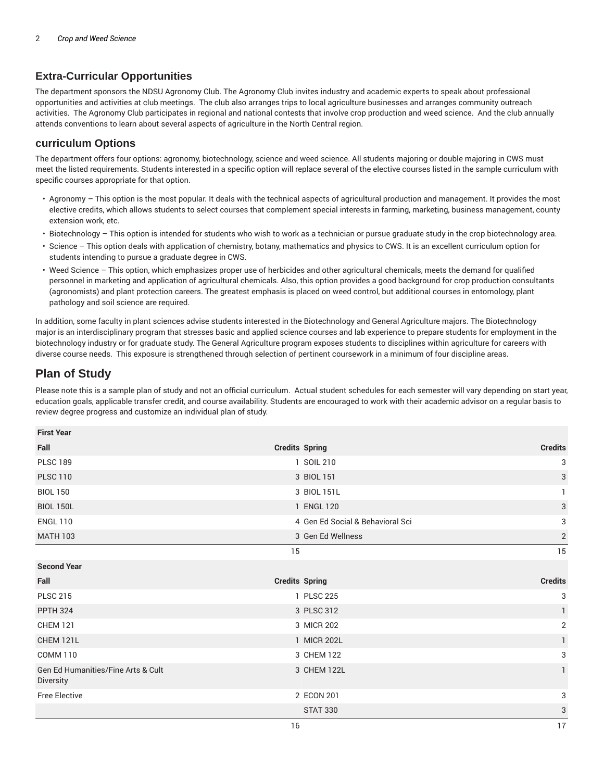## **Extra-Curricular Opportunities**

The department sponsors the NDSU Agronomy Club. The Agronomy Club invites industry and academic experts to speak about professional opportunities and activities at club meetings. The club also arranges trips to local agriculture businesses and arranges community outreach activities. The Agronomy Club participates in regional and national contests that involve crop production and weed science. And the club annually attends conventions to learn about several aspects of agriculture in the North Central region.

#### **curriculum Options**

The department offers four options: agronomy, biotechnology, science and weed science. All students majoring or double majoring in CWS must meet the listed requirements. Students interested in a specific option will replace several of the elective courses listed in the sample curriculum with specific courses appropriate for that option.

- Agronomy This option is the most popular. It deals with the technical aspects of agricultural production and management. It provides the most elective credits, which allows students to select courses that complement special interests in farming, marketing, business management, county extension work, etc.
- Biotechnology This option is intended for students who wish to work as a technician or pursue graduate study in the crop biotechnology area.
- Science This option deals with application of chemistry, botany, mathematics and physics to CWS. It is an excellent curriculum option for students intending to pursue a graduate degree in CWS.
- Weed Science This option, which emphasizes proper use of herbicides and other agricultural chemicals, meets the demand for qualified personnel in marketing and application of agricultural chemicals. Also, this option provides a good background for crop production consultants (agronomists) and plant protection careers. The greatest emphasis is placed on weed control, but additional courses in entomology, plant pathology and soil science are required.

In addition, some faculty in plant sciences advise students interested in the Biotechnology and General Agriculture majors. The Biotechnology major is an interdisciplinary program that stresses basic and applied science courses and lab experience to prepare students for employment in the biotechnology industry or for graduate study. The General Agriculture program exposes students to disciplines within agriculture for careers with diverse course needs. This exposure is strengthened through selection of pertinent coursework in a minimum of four discipline areas.

# **Plan of Study**

Please note this is a sample plan of study and not an official curriculum. Actual student schedules for each semester will vary depending on start year, education goals, applicable transfer credit, and course availability. Students are encouraged to work with their academic advisor on a regular basis to review degree progress and customize an individual plan of study.

| <b>First Year</b>                               |                                  |                |
|-------------------------------------------------|----------------------------------|----------------|
| Fall                                            | <b>Credits Spring</b>            | <b>Credits</b> |
| <b>PLSC 189</b>                                 | 1 SOIL 210                       | 3              |
| <b>PLSC 110</b>                                 | 3 BIOL 151                       | 3              |
| <b>BIOL 150</b>                                 | 3 BIOL 151L                      | 1              |
| <b>BIOL 150L</b>                                | 1 ENGL 120                       | 3              |
| <b>ENGL 110</b>                                 | 4 Gen Ed Social & Behavioral Sci | 3              |
| <b>MATH 103</b>                                 | 3 Gen Ed Wellness                | $\sqrt{2}$     |
|                                                 | 15                               | 15             |
| <b>Second Year</b>                              |                                  |                |
|                                                 |                                  |                |
| Fall                                            | <b>Credits Spring</b>            | <b>Credits</b> |
| <b>PLSC 215</b>                                 | 1 PLSC 225                       | 3              |
| <b>PPTH 324</b>                                 | 3 PLSC 312                       | 1              |
| <b>CHEM 121</b>                                 | 3 MICR 202                       | $\overline{2}$ |
| CHEM 121L                                       | 1 MICR 202L                      | $\mathbf{1}$   |
| <b>COMM 110</b>                                 | 3 CHEM 122                       | 3              |
| Gen Ed Humanities/Fine Arts & Cult<br>Diversity | 3 CHEM 122L                      | $\mathbf{1}$   |
| <b>Free Elective</b>                            | 2 ECON 201                       | 3              |